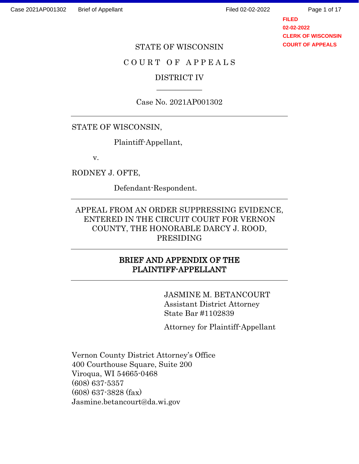**FILED 02-02-2022 CLERK OF WISCONSIN COURT OF APPEALS**

#### STATE OF WISCONSIN

### C O U R T O F A P P E A L S

## DISTRICT IV  $\overline{\phantom{a}}$

#### Case No. 2021AP001302

## STATE OF WISCONSIN,

Plaintiff-Appellant,

v.

RODNEY J. OFTE,

Defendant-Respondent.

## APPEAL FROM AN ORDER SUPPRESSING EVIDENCE, ENTERED IN THE CIRCUIT COURT FOR VERNON COUNTY, THE HONORABLE DARCY J. ROOD, PRESIDING

## BRIEF AND APPENDIX OF THE PLAINTIFF-APPELLANT

 JASMINE M. BETANCOURT Assistant District Attorney State Bar #1102839

Attorney for Plaintiff-Appellant

Vernon County District Attorney's Office 400 Courthouse Square, Suite 200 Viroqua, WI 54665-0468 (608) 637-5357 (608) 637-3828 (fax) Jasmine.betancourt@da.wi.gov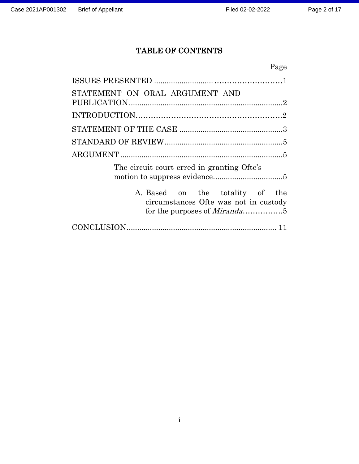# TABLE OF CONTENTS

| Page                                                                                                                |
|---------------------------------------------------------------------------------------------------------------------|
|                                                                                                                     |
| STATEMENT ON ORAL ARGUMENT AND                                                                                      |
|                                                                                                                     |
|                                                                                                                     |
|                                                                                                                     |
|                                                                                                                     |
| The circuit court erred in granting Ofte's                                                                          |
| A. Based on the totality of<br>the<br>circumstances Ofte was not in custody<br>for the purposes of <i>Miranda</i> 5 |
|                                                                                                                     |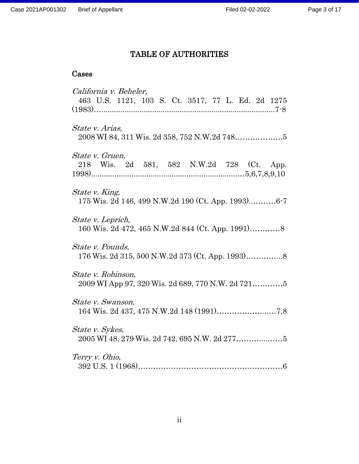# TABLE OF AUTHORITIES

# Cases

| California v. Beheler,                             |
|----------------------------------------------------|
| 463 U.S. 1121, 103 S. Ct. 3517, 77 L. Ed. 2d 1275  |
|                                                    |
| State v. Arias,                                    |
| State v. Gruen,                                    |
| 218 Wis. 2d 581, 582 N.W.2d 728 (Ct. App.          |
|                                                    |
| State v. King,                                     |
| 175 Wis. 2d 146, 499 N.W.2d 190 (Ct. App. 1993)6-7 |
| State v. Leprich,                                  |
|                                                    |
| State v. Pounds,                                   |
| 176 Wis. 2d 315, 500 N.W.2d 373 (Ct. App. 1993)8   |
|                                                    |
| State v. Robinson,                                 |
|                                                    |
| State v. Swanson,                                  |
|                                                    |
| State v. Sykes,                                    |
|                                                    |
| Terry v. Ohio,                                     |
|                                                    |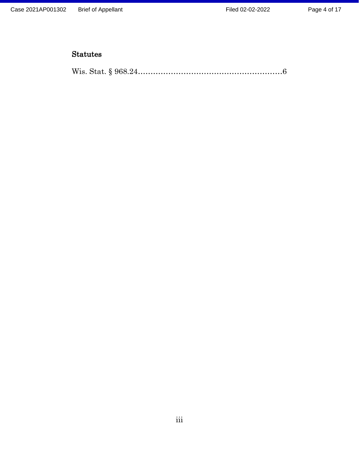## Statutes

|--|--|--|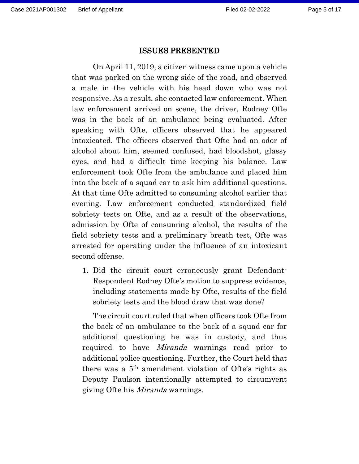#### ISSUES PRESENTED

On April 11, 2019, a citizen witness came upon a vehicle that was parked on the wrong side of the road, and observed a male in the vehicle with his head down who was not responsive. As a result, she contacted law enforcement. When law enforcement arrived on scene, the driver, Rodney Ofte was in the back of an ambulance being evaluated. After speaking with Ofte, officers observed that he appeared intoxicated. The officers observed that Ofte had an odor of alcohol about him, seemed confused, had bloodshot, glassy eyes, and had a difficult time keeping his balance. Law enforcement took Ofte from the ambulance and placed him into the back of a squad car to ask him additional questions. At that time Ofte admitted to consuming alcohol earlier that evening. Law enforcement conducted standardized field sobriety tests on Ofte, and as a result of the observations, admission by Ofte of consuming alcohol, the results of the field sobriety tests and a preliminary breath test, Ofte was arrested for operating under the influence of an intoxicant second offense.

1. Did the circuit court erroneously grant Defendant-Respondent Rodney Ofte's motion to suppress evidence, including statements made by Ofte, results of the field sobriety tests and the blood draw that was done?

The circuit court ruled that when officers took Ofte from the back of an ambulance to the back of a squad car for additional questioning he was in custody, and thus required to have Miranda warnings read prior to additional police questioning. Further, the Court held that there was a 5th amendment violation of Ofte's rights as Deputy Paulson intentionally attempted to circumvent giving Ofte his *Miranda* warnings.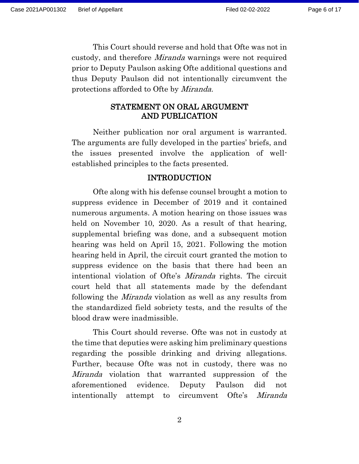This Court should reverse and hold that Ofte was not in custody, and therefore Miranda warnings were not required prior to Deputy Paulson asking Ofte additional questions and thus Deputy Paulson did not intentionally circumvent the protections afforded to Ofte by Miranda.

#### STATEMENT ON ORAL ARGUMENT AND PUBLICATION

Neither publication nor oral argument is warranted. The arguments are fully developed in the parties' briefs, and the issues presented involve the application of wellestablished principles to the facts presented.

#### INTRODUCTION

Ofte along with his defense counsel brought a motion to suppress evidence in December of 2019 and it contained numerous arguments. A motion hearing on those issues was held on November 10, 2020. As a result of that hearing, supplemental briefing was done, and a subsequent motion hearing was held on April 15, 2021. Following the motion hearing held in April, the circuit court granted the motion to suppress evidence on the basis that there had been an intentional violation of Ofte's Miranda rights. The circuit court held that all statements made by the defendant following the Miranda violation as well as any results from the standardized field sobriety tests, and the results of the blood draw were inadmissible.

This Court should reverse. Ofte was not in custody at the time that deputies were asking him preliminary questions regarding the possible drinking and driving allegations. Further, because Ofte was not in custody, there was no Miranda violation that warranted suppression of the aforementioned evidence. Deputy Paulson did not intentionally attempt to circumvent Ofte's Miranda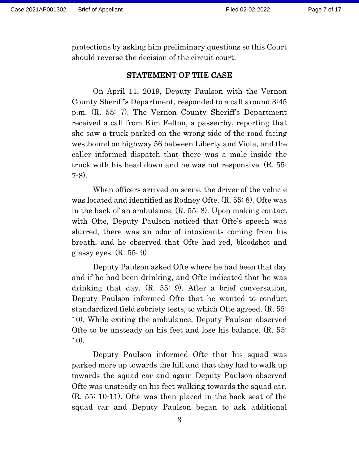protections by asking him preliminary questions so this Court should reverse the decision of the circuit court.

#### STATEMENT OF THE CASE

On April 11, 2019, Deputy Paulson with the Vernon County Sheriff's Department, responded to a call around 8:45 p.m. (R. 55: 7). The Vernon County Sheriff's Department received a call from Kim Felton, a passer-by, reporting that she saw a truck parked on the wrong side of the road facing westbound on highway 56 between Liberty and Viola, and the caller informed dispatch that there was a male inside the truck with his head down and he was not responsive. (R. 55: 7-8).

When officers arrived on scene, the driver of the vehicle was located and identified as Rodney Ofte. (R. 55: 8). Ofte was in the back of an ambulance. (R. 55: 8). Upon making contact with Ofte, Deputy Paulson noticed that Ofte's speech was slurred, there was an odor of intoxicants coming from his breath, and he observed that Ofte had red, bloodshot and glassy eyes.  $(R. 55: 9)$ .

Deputy Paulson asked Ofte where he had been that day and if he had been drinking, and Ofte indicated that he was drinking that day. (R. 55: 9). After a brief conversation, Deputy Paulson informed Ofte that he wanted to conduct standardized field sobriety tests, to which Ofte agreed. (R. 55: 10). While exiting the ambulance, Deputy Paulson observed Ofte to be unsteady on his feet and lose his balance. (R. 55: 10).

Deputy Paulson informed Ofte that his squad was parked more up towards the hill and that they had to walk up towards the squad car and again Deputy Paulson observed Ofte was unsteady on his feet walking towards the squad car. (R. 55: 10-11). Ofte was then placed in the back seat of the squad car and Deputy Paulson began to ask additional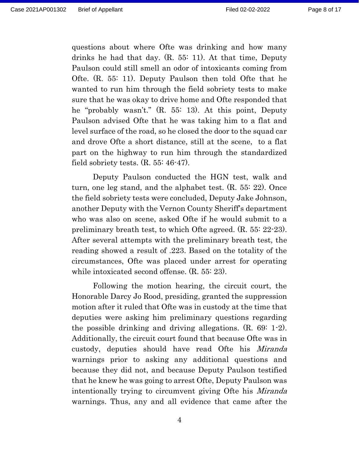questions about where Ofte was drinking and how many drinks he had that day. (R. 55: 11). At that time, Deputy Paulson could still smell an odor of intoxicants coming from Ofte. (R. 55: 11). Deputy Paulson then told Ofte that he wanted to run him through the field sobriety tests to make sure that he was okay to drive home and Ofte responded that he "probably wasn't." (R. 55: 13). At this point, Deputy Paulson advised Ofte that he was taking him to a flat and level surface of the road, so he closed the door to the squad car and drove Ofte a short distance, still at the scene, to a flat part on the highway to run him through the standardized field sobriety tests. (R. 55: 46-47).

Deputy Paulson conducted the HGN test, walk and turn, one leg stand, and the alphabet test. (R. 55: 22). Once the field sobriety tests were concluded, Deputy Jake Johnson, another Deputy with the Vernon County Sheriff's department who was also on scene, asked Ofte if he would submit to a preliminary breath test, to which Ofte agreed. (R. 55: 22-23). After several attempts with the preliminary breath test, the reading showed a result of .223. Based on the totality of the circumstances, Ofte was placed under arrest for operating while intoxicated second offense. (R. 55: 23).

Following the motion hearing, the circuit court, the Honorable Darcy Jo Rood, presiding, granted the suppression motion after it ruled that Ofte was in custody at the time that deputies were asking him preliminary questions regarding the possible drinking and driving allegations. (R. 69: 1-2). Additionally, the circuit court found that because Ofte was in custody, deputies should have read Ofte his Miranda warnings prior to asking any additional questions and because they did not, and because Deputy Paulson testified that he knew he was going to arrest Ofte, Deputy Paulson was intentionally trying to circumvent giving Ofte his Miranda warnings. Thus, any and all evidence that came after the

4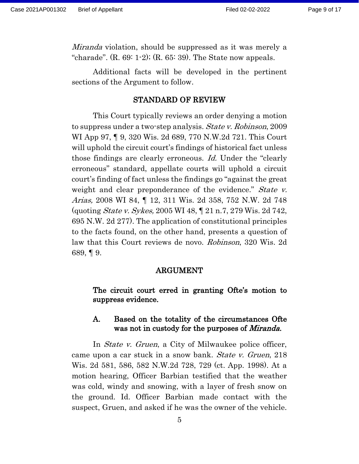*Miranda* violation, should be suppressed as it was merely a "charade".  $(R. 69: 1-2)$ ;  $(R. 65: 39)$ . The State now appeals.

Additional facts will be developed in the pertinent sections of the Argument to follow.

#### STANDARD OF REVIEW

 This Court typically reviews an order denying a motion to suppress under a two-step analysis. State v. Robinson, 2009 WI App 97, ¶ 9, 320 Wis. 2d 689, 770 N.W.2d 721. This Court will uphold the circuit court's findings of historical fact unless those findings are clearly erroneous. Id. Under the "clearly erroneous" standard, appellate courts will uphold a circuit court's finding of fact unless the findings go "against the great weight and clear preponderance of the evidence." State v. Arias, 2008 WI 84, ¶ 12, 311 Wis. 2d 358, 752 N.W. 2d 748 (quoting State v. Sykes, 2005 WI 48, ¶ 21 n.7, 279 Wis. 2d 742, 695 N.W. 2d 277). The application of constitutional principles to the facts found, on the other hand, presents a question of law that this Court reviews de novo. Robinson, 320 Wis. 2d 689, ¶ 9.

#### ARGUMENT

The circuit court erred in granting Ofte's motion to suppress evidence.

#### A. Based on the totality of the circumstances Ofte was not in custody for the purposes of *Miranda*.

In *State v. Gruen*, a City of Milwaukee police officer, came upon a car stuck in a snow bank. State v. Gruen, 218 Wis. 2d 581, 586, 582 N.W.2d 728, 729 (ct. App. 1998). At a motion hearing, Officer Barbian testified that the weather was cold, windy and snowing, with a layer of fresh snow on the ground. Id. Officer Barbian made contact with the suspect, Gruen, and asked if he was the owner of the vehicle.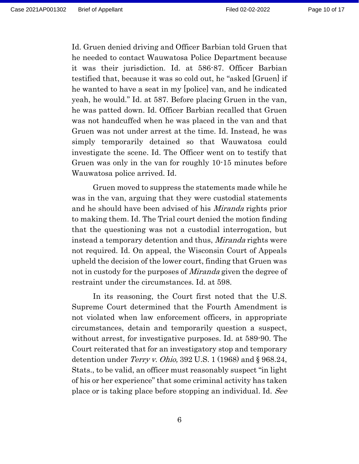Id. Gruen denied driving and Officer Barbian told Gruen that he needed to contact Wauwatosa Police Department because it was their jurisdiction. Id. at 586-87. Officer Barbian testified that, because it was so cold out, he "asked [Gruen] if he wanted to have a seat in my [police] van, and he indicated yeah, he would." Id. at 587. Before placing Gruen in the van, he was patted down. Id. Officer Barbian recalled that Gruen was not handcuffed when he was placed in the van and that Gruen was not under arrest at the time. Id. Instead, he was simply temporarily detained so that Wauwatosa could investigate the scene. Id. The Officer went on to testify that Gruen was only in the van for roughly 10-15 minutes before Wauwatosa police arrived. Id.

Gruen moved to suppress the statements made while he was in the van, arguing that they were custodial statements and he should have been advised of his *Miranda* rights prior to making them. Id. The Trial court denied the motion finding that the questioning was not a custodial interrogation, but instead a temporary detention and thus, Miranda rights were not required. Id. On appeal, the Wisconsin Court of Appeals upheld the decision of the lower court, finding that Gruen was not in custody for the purposes of *Miranda* given the degree of restraint under the circumstances. Id. at 598.

In its reasoning, the Court first noted that the U.S. Supreme Court determined that the Fourth Amendment is not violated when law enforcement officers, in appropriate circumstances, detain and temporarily question a suspect, without arrest, for investigative purposes. Id. at 589-90. The Court reiterated that for an investigatory stop and temporary detention under *Terry v. Ohio*, 392 U.S.  $1(1968)$  and § 968.24, Stats., to be valid, an officer must reasonably suspect "in light of his or her experience" that some criminal activity has taken place or is taking place before stopping an individual. Id. See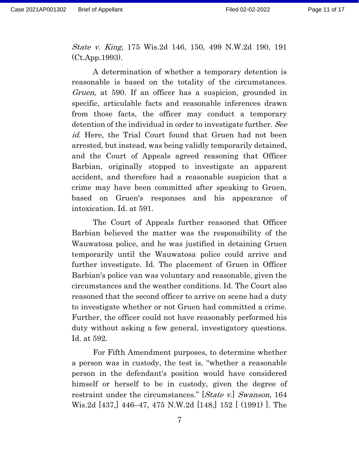State v. King, 175 Wis.2d 146, 150, 499 N.W.2d 190, 191 (Ct.App.1993).

A determination of whether a temporary detention is reasonable is based on the totality of the circumstances. Gruen, at 590. If an officer has a suspicion, grounded in specific, articulable facts and reasonable inferences drawn from those facts, the officer may conduct a temporary detention of the individual in order to investigate further. See id. Here, the Trial Court found that Gruen had not been arrested, but instead, was being validly temporarily detained, and the Court of Appeals agreed reasoning that Officer Barbian, originally stopped to investigate an apparent accident, and therefore had a reasonable suspicion that a crime may have been committed after speaking to Gruen, based on Gruen's responses and his appearance of intoxication. Id. at 591.

The Court of Appeals further reasoned that Officer Barbian believed the matter was the responsibility of the Wauwatosa police, and he was justified in detaining Gruen temporarily until the Wauwatosa police could arrive and further investigate. Id. The placement of Gruen in Officer Barbian's police van was voluntary and reasonable, given the circumstances and the weather conditions. Id. The Court also reasoned that the second officer to arrive on scene had a duty to investigate whether or not Gruen had committed a crime. Further, the officer could not have reasonably performed his duty without asking a few general, investigatory questions. Id. at 592.

For Fifth Amendment purposes, to determine whether a person was in custody, the test is, "whether a reasonable person in the defendant's position would have considered himself or herself to be in custody, given the degree of restraint under the circumstances." [State v.] Swanson, 164 Wis.2d [437,] 446–47, 475 N.W.2d [148,] 152 [ (1991) ]. The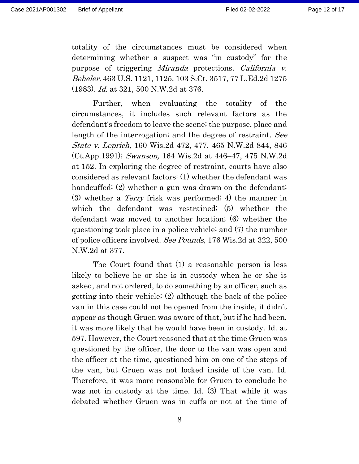totality of the circumstances must be considered when determining whether a suspect was "in custody" for the purpose of triggering Miranda protections. California v. Beheler, 463 U.S. 1121, 1125, 103 S.Ct. 3517, 77 L.Ed.2d 1275 (1983). Id. at 321, 500 N.W.2d at 376.

Further, when evaluating the totality of the circumstances, it includes such relevant factors as the defendant's freedom to leave the scene; the purpose, place and length of the interrogation; and the degree of restraint. See State v. Leprich, 160 Wis.2d 472, 477, 465 N.W.2d 844, 846 (Ct.App.1991); Swanson, 164 Wis.2d at 446–47, 475 N.W.2d at 152. In exploring the degree of restraint, courts have also considered as relevant factors: (1) whether the defendant was handcuffed; (2) whether a gun was drawn on the defendant; (3) whether a Terry frisk was performed; 4) the manner in which the defendant was restrained; (5) whether the defendant was moved to another location; (6) whether the questioning took place in a police vehicle; and (7) the number of police officers involved. See Pounds, 176 Wis.2d at 322, 500 N.W.2d at 377.

The Court found that (1) a reasonable person is less likely to believe he or she is in custody when he or she is asked, and not ordered, to do something by an officer, such as getting into their vehicle; (2) although the back of the police van in this case could not be opened from the inside, it didn't appear as though Gruen was aware of that, but if he had been, it was more likely that he would have been in custody. Id. at 597. However, the Court reasoned that at the time Gruen was questioned by the officer, the door to the van was open and the officer at the time, questioned him on one of the steps of the van, but Gruen was not locked inside of the van. Id. Therefore, it was more reasonable for Gruen to conclude he was not in custody at the time. Id. (3) That while it was debated whether Gruen was in cuffs or not at the time of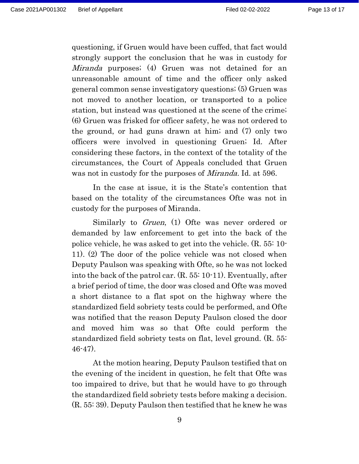questioning, if Gruen would have been cuffed, that fact would strongly support the conclusion that he was in custody for Miranda purposes; (4) Gruen was not detained for an unreasonable amount of time and the officer only asked general common sense investigatory questions; (5) Gruen was not moved to another location, or transported to a police station, but instead was questioned at the scene of the crime; (6) Gruen was frisked for officer safety, he was not ordered to the ground, or had guns drawn at him; and (7) only two officers were involved in questioning Gruen; Id. After considering these factors, in the context of the totality of the circumstances, the Court of Appeals concluded that Gruen was not in custody for the purposes of *Miranda*. Id. at 596.

In the case at issue, it is the State's contention that based on the totality of the circumstances Ofte was not in custody for the purposes of Miranda.

Similarly to *Gruen*, (1) Ofte was never ordered or demanded by law enforcement to get into the back of the police vehicle, he was asked to get into the vehicle. (R. 55: 10- 11). (2) The door of the police vehicle was not closed when Deputy Paulson was speaking with Ofte, so he was not locked into the back of the patrol car. (R. 55: 10-11). Eventually, after a brief period of time, the door was closed and Ofte was moved a short distance to a flat spot on the highway where the standardized field sobriety tests could be performed, and Ofte was notified that the reason Deputy Paulson closed the door and moved him was so that Ofte could perform the standardized field sobriety tests on flat, level ground. (R. 55: 46-47).

At the motion hearing, Deputy Paulson testified that on the evening of the incident in question, he felt that Ofte was too impaired to drive, but that he would have to go through the standardized field sobriety tests before making a decision. (R. 55: 39). Deputy Paulson then testified that he knew he was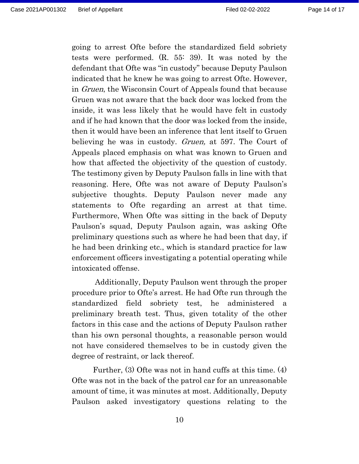going to arrest Ofte before the standardized field sobriety tests were performed. (R. 55: 39). It was noted by the defendant that Ofte was "in custody" because Deputy Paulson indicated that he knew he was going to arrest Ofte. However, in Gruen, the Wisconsin Court of Appeals found that because Gruen was not aware that the back door was locked from the inside, it was less likely that he would have felt in custody and if he had known that the door was locked from the inside, then it would have been an inference that lent itself to Gruen believing he was in custody. *Gruen*, at 597. The Court of Appeals placed emphasis on what was known to Gruen and how that affected the objectivity of the question of custody. The testimony given by Deputy Paulson falls in line with that reasoning. Here, Ofte was not aware of Deputy Paulson's subjective thoughts. Deputy Paulson never made any statements to Ofte regarding an arrest at that time. Furthermore, When Ofte was sitting in the back of Deputy Paulson's squad, Deputy Paulson again, was asking Ofte preliminary questions such as where he had been that day, if he had been drinking etc., which is standard practice for law enforcement officers investigating a potential operating while intoxicated offense.

Additionally, Deputy Paulson went through the proper procedure prior to Ofte's arrest. He had Ofte run through the standardized field sobriety test, he administered a preliminary breath test. Thus, given totality of the other factors in this case and the actions of Deputy Paulson rather than his own personal thoughts, a reasonable person would not have considered themselves to be in custody given the degree of restraint, or lack thereof.

Further, (3) Ofte was not in hand cuffs at this time. (4) Ofte was not in the back of the patrol car for an unreasonable amount of time, it was minutes at most. Additionally, Deputy Paulson asked investigatory questions relating to the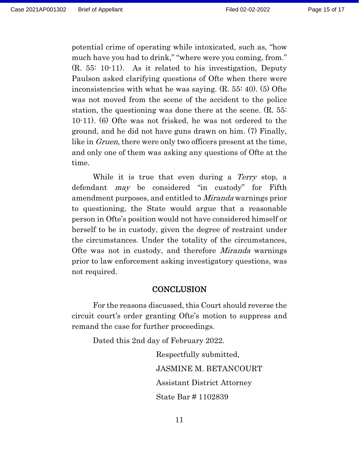potential crime of operating while intoxicated, such as, "how much have you had to drink," "where were you coming, from." (R. 55: 10-11). As it related to his investigation, Deputy Paulson asked clarifying questions of Ofte when there were inconsistencies with what he was saying. (R. 55: 40). (5) Ofte was not moved from the scene of the accident to the police station, the questioning was done there at the scene. (R. 55: 10-11). (6) Ofte was not frisked, he was not ordered to the ground, and he did not have guns drawn on him. (7) Finally, like in *Gruen*, there were only two officers present at the time, and only one of them was asking any questions of Ofte at the time.

While it is true that even during a *Terry* stop, a defendant *may* be considered "in custody" for Fifth amendment purposes, and entitled to Miranda warnings prior to questioning, the State would argue that a reasonable person in Ofte's position would not have considered himself or herself to be in custody, given the degree of restraint under the circumstances. Under the totality of the circumstances, Ofte was not in custody, and therefore Miranda warnings prior to law enforcement asking investigatory questions, was not required.

#### **CONCLUSION**

For the reasons discussed, this Court should reverse the circuit court's order granting Ofte's motion to suppress and remand the case for further proceedings.

Dated this 2nd day of February 2022.

Respectfully submitted, JASMINE M. BETANCOURT Assistant District Attorney State Bar # 1102839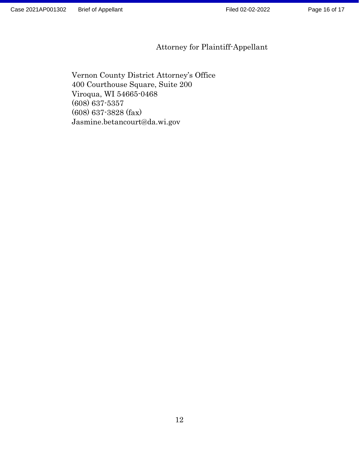Page 16 of 17

# Attorney for Plaintiff-Appellant

Vernon County District Attorney's Office 400 Courthouse Square, Suite 200 Viroqua, WI 54665-0468 (608) 637-5357 (608) 637-3828 (fax) Jasmine.betancourt@da.wi.gov